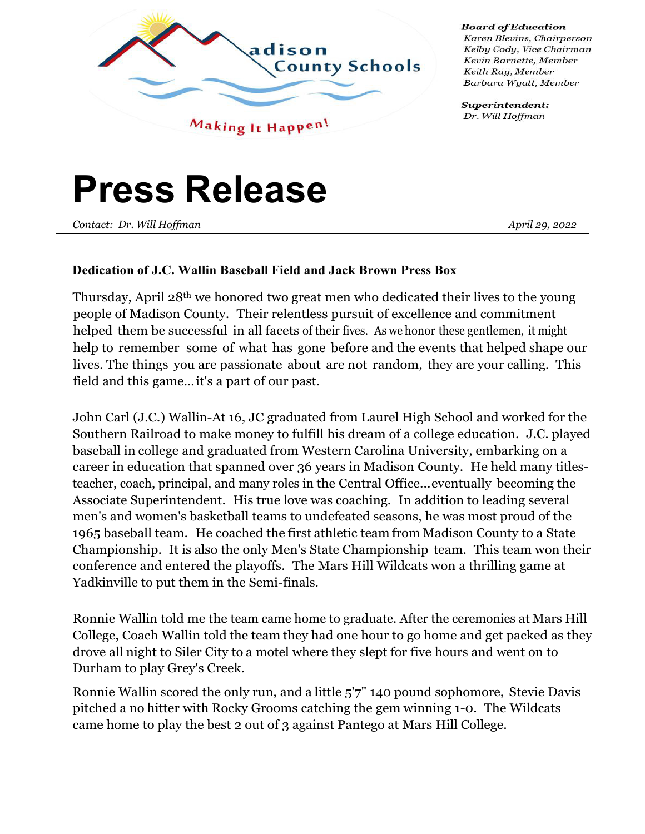

**Board of Education** Karen Blevins, Chairperson Kelby Cody, Vice Chairman Kevin Barnette, Member Keith Ray, Member Barbara Wyatt, Member

Superintendent: Dr. Will Hoffman

## **Press Release**

*Contact: Dr. Will Hoffman April 29, 2022* 

## **Dedication of J.C. Wallin Baseball Field and Jack Brown Press Box**

Thursday, April 28th we honored two great men who dedicated their lives to the young people of Madison County. Their relentless pursuit of excellence and commitment helped them be successful in all facets of their fives. As we honor these gentlemen, it might help to remember some of what has gone before and the events that helped shape our lives. The things you are passionate about are not random, they are your calling. This field and this game...it's a part of our past.

John Carl (J.C.) Wallin-At 16, JC graduated from Laurel High School and worked for the Southern Railroad to make money to fulfill his dream of a college education. J.C. played baseball in college and graduated from Western Carolina University, embarking on a career in education that spanned over 36 years in Madison County. He held many titlesteacher, coach, principal, and many roles in the Central Office...eventually becoming the Associate Superintendent. His true love was coaching. In addition to leading several men's and women's basketball teams to undefeated seasons, he was most proud of the 1965 baseball team. He coached the first athletic team from Madison County to a State Championship. It is also the only Men's State Championship team. This team won their conference and entered the playoffs. The Mars Hill Wildcats won a thrilling game at Yadkinville to put them in the Semi-finals.

Ronnie Wallin told me the team came home to graduate. After the ceremonies at Mars Hill College, Coach Wallin told the team they had one hour to go home and get packed as they drove all night to Siler City to a motel where they slept for five hours and went on to Durham to play Grey's Creek.

Ronnie Wallin scored the only run, and a little 5'7" 140 pound sophomore, Stevie Davis pitched a no hitter with Rocky Grooms catching the gem winning 1-0. The Wildcats came home to play the best 2 out of 3 against Pantego at Mars Hill College.